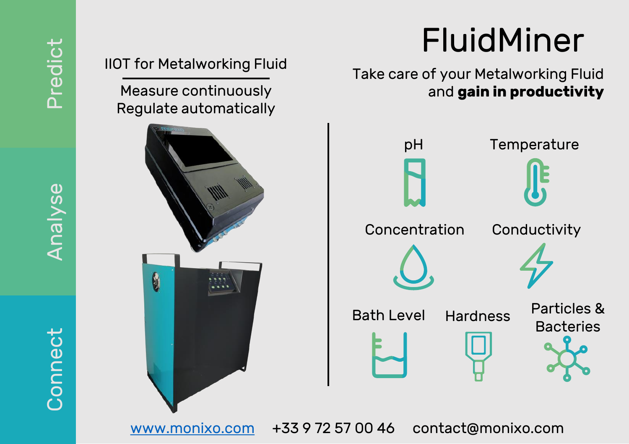# FluidMiner

Take care of your Metalworking Fluid and **gain in productivity** 



## IIOT for Metalworking Fluid

Measure continuously Regulate automatically



[www.monixo.com](http://www.monixo.com/) +33 9 72 57 00 46 contact@monixo.com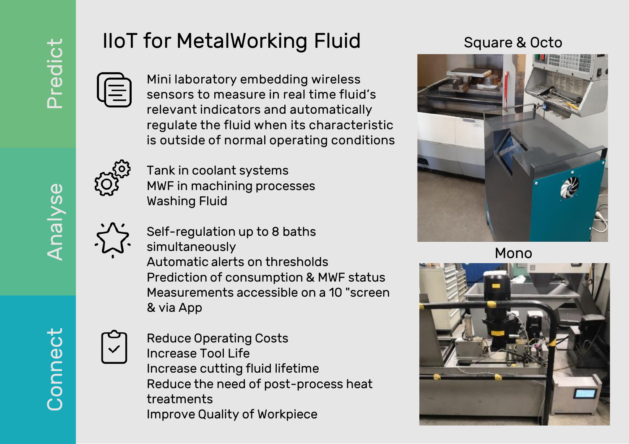# IIoT for MetalWorking Fluid

Mini laboratory embedding wireless sensors to measure in real time fluid's relevant indicators and automatically regulate the fluid when its characteristic is outside of normal operating conditions



Tank in coolant systems MWF in machining processes Washing Fluid

Self -regulation up to 8 baths

simultaneously Automatic alerts on thresholds Prediction of consumption & MWF status Measurements accessible on a 10 "screen & via App

Reduce Operating Costs Increase Tool Life Increase cutting fluid lifetime Reduce the need of post -process heat treatments Improve Quality of Workpiece

## Square & Octo



Mono



Analyse

Connect Connect